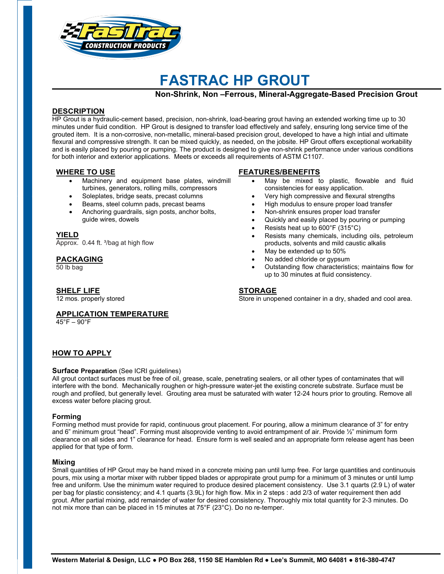

# **FASTRAC HP GROUT**

**Non-Shrink, Non –Ferrous, Mineral-Aggregate-Based Precision Grout** 

# **DESCRIPTION**

HP Grout is a hydraulic-cement based, precision, non-shrink, load-bearing grout having an extended working time up to 30 minutes under fluid condition. HP Grout is designed to transfer load effectively and safely, ensuring long service time of the grouted item. It is a non-corrosive, non-metallic, mineral-based precision grout, developed to have a high intial and ultimate flexural and compressive strength. It can be mixed quickly, as needed, on the jobsite. HP Grout offers exceptional workability and is easily placed by pouring or pumping. The product is designed to give non-shrink performance under various conditions for both interior and exterior applications. Meets or exceeds all requirements of ASTM C1107.

## **WHERE TO USE**

- Machinery and equipment base plates, windmill turbines, generators, rolling mills, compressors
- Soleplates, bridge seats, precast columns
- Beams, steel column pads, precast beams
- Anchoring guardrails, sign posts, anchor bolts, guide wires, dowels

### **YIELD**

Approx. 0.44 ft. <sup>3</sup>/bag at high flow

## **PACKAGING**

50 lb bag

# **SHELF LIFE**

12 mos. properly stored

# **FEATURES/BENEFITS**

- May be mixed to plastic, flowable and fluid consistencies for easy application.
- Very high compressive and flexural strengths
- High modulus to ensure proper load transfer
- Non-shrink ensures proper load transfer
- Quickly and easily placed by pouring or pumping
- Resists heat up to 600°F (315°C)
- Resists many chemicals, including oils, petroleum products, solvents and mild caustic alkalis
- May be extended up to 50%
- No added chloride or gypsum
- Outstanding flow characteristics; maintains flow for up to 30 minutes at fluid consistency.

### **STORAGE**

Store in unopened container in a dry, shaded and cool area.

# **APPLICATION TEMPERATURE**

45°F – 90°F

# **HOW TO APPLY**

### **Surface Preparation** (See ICRI guidelines)

All grout contact surfaces must be free of oil, grease, scale, penetrating sealers, or all other types of contaminates that will interfere with the bond. Mechanically roughen or high-pressure water-jet the existing concrete substrate. Surface must be rough and profiled, but generally level. Grouting area must be saturated with water 12-24 hours prior to grouting. Remove all excess water before placing grout.

### **Forming**

Forming method must provide for rapid, continuous grout placement. For pouring, allow a minimum clearance of 3" for entry and 6" minimum grout "head". Forming must alsoprovide venting to avoid entrampment of air. Provide 1/2" minimum form clearance on all sides and 1" clearance for head. Ensure form is well sealed and an appropriate form release agent has been applied for that type of form.

### **Mixing**

Small quantities of HP Grout may be hand mixed in a concrete mixing pan until lump free. For large quantities and continuouis pours, mix using a mortar mixer with rubber tipped blades or appropirate grout pump for a minimum of 3 minutes or until lump free and uniform. Use the minimum water required to produce desired placement consistency. Use 3.1 quarts (2.9 L) of water per bag for plastic consistency; and 4.1 quarts (3.9L) for high flow. Mix in 2 steps : add 2/3 of water requirement then add grout. After partial mixing, add remainder of water for desired consistency. Thoroughly mix total quantity for 2-3 minutes. Do not mix more than can be placed in 15 minutes at 75°F (23°C). Do no re-temper.